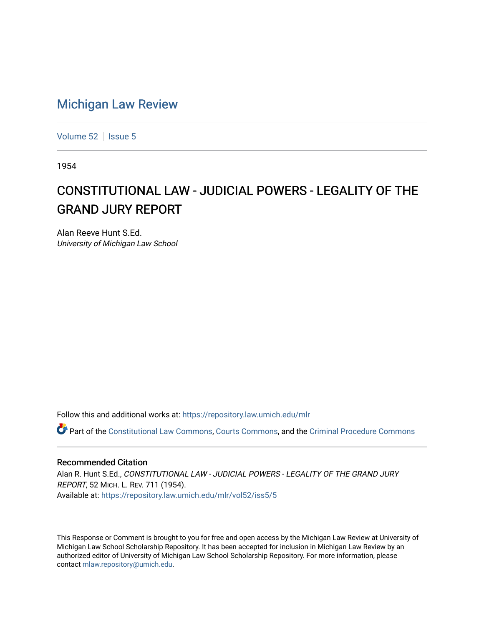## [Michigan Law Review](https://repository.law.umich.edu/mlr)

[Volume 52](https://repository.law.umich.edu/mlr/vol52) | [Issue 5](https://repository.law.umich.edu/mlr/vol52/iss5)

1954

# CONSTITUTIONAL LAW - JUDICIAL POWERS - LEGALITY OF THE GRAND JURY REPORT

Alan Reeve Hunt S.Ed. University of Michigan Law School

Follow this and additional works at: [https://repository.law.umich.edu/mlr](https://repository.law.umich.edu/mlr?utm_source=repository.law.umich.edu%2Fmlr%2Fvol52%2Fiss5%2F5&utm_medium=PDF&utm_campaign=PDFCoverPages) 

Part of the [Constitutional Law Commons,](http://network.bepress.com/hgg/discipline/589?utm_source=repository.law.umich.edu%2Fmlr%2Fvol52%2Fiss5%2F5&utm_medium=PDF&utm_campaign=PDFCoverPages) [Courts Commons,](http://network.bepress.com/hgg/discipline/839?utm_source=repository.law.umich.edu%2Fmlr%2Fvol52%2Fiss5%2F5&utm_medium=PDF&utm_campaign=PDFCoverPages) and the [Criminal Procedure Commons](http://network.bepress.com/hgg/discipline/1073?utm_source=repository.law.umich.edu%2Fmlr%2Fvol52%2Fiss5%2F5&utm_medium=PDF&utm_campaign=PDFCoverPages)

## Recommended Citation

Alan R. Hunt S.Ed., CONSTITUTIONAL LAW - JUDICIAL POWERS - LEGALITY OF THE GRAND JURY REPORT, 52 MICH. L. REV. 711 (1954). Available at: [https://repository.law.umich.edu/mlr/vol52/iss5/5](https://repository.law.umich.edu/mlr/vol52/iss5/5?utm_source=repository.law.umich.edu%2Fmlr%2Fvol52%2Fiss5%2F5&utm_medium=PDF&utm_campaign=PDFCoverPages)

This Response or Comment is brought to you for free and open access by the Michigan Law Review at University of Michigan Law School Scholarship Repository. It has been accepted for inclusion in Michigan Law Review by an authorized editor of University of Michigan Law School Scholarship Repository. For more information, please contact [mlaw.repository@umich.edu](mailto:mlaw.repository@umich.edu).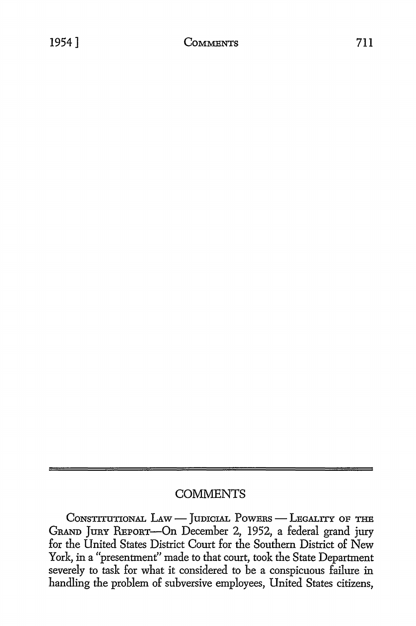## **COMMENTS**

CONSTITUTIONAL LAW - JUDICIAL POWERS - LEGALITY OF THE GRAND JuRY REPORT-On December 2, 1952, a federal grand jury for the United States District Court for the Southern District of New York, in a "presentment" made to that court, took the State Department severely to task for what it considered to be a conspicuous failure in handling the problem of subversive employees, United States citizens,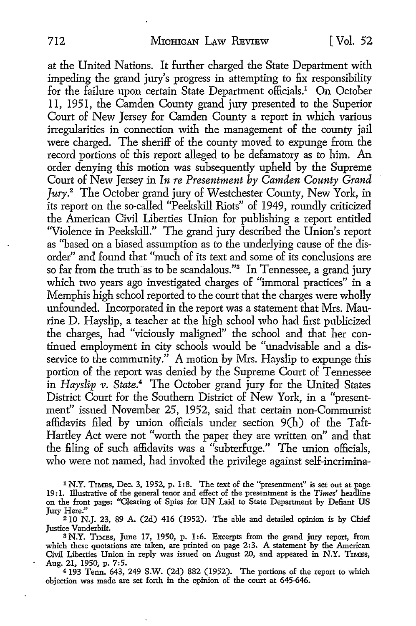at the United Nations. It further charged the State Department with impeding the grand jury's progress in attempting to fix responsibility for the failure upon certain State Department officials.<sup>1</sup> On October 11, 1951, the Camden County grand jury presented to the Superior Court of New Jersey for Camden County a report in which various irregularities in connection with the management of the county jail were charged. The sheriff of the county moved to expunge from the record portions of this report alleged to be defamatory as to him. An order denying this motion was subsequently upheld by the Supreme Court of New Jersey in *In re Presentment by Camden County Grand Jury.*<sup>2</sup>The October grand jury of Westchester County, New York, in its report on the so-called "Peekskill Riots" of 1949, roundly criticized the American Civil Liberties Union for publishing a report entitled "Violence in Peekskill." The grand jury described the Union's report as ''based on a biased assumption as to the underlying cause of the disorder" and found that "much of its text and some of its conclusions are so far from the truth as to be scandalous."<sup>3</sup> In Tennessee, a grand jury which two years ago investigated charges of "immoral practices" in a Memphis high school reported to the court that the charges were wholly unfounded. Incorporated in the report was a statement that Mrs. Maurine D. Hayslip, a teacher at the high school who had first publicized the charges, had "viciously maligned" the school and that her continued employment in city schools would be "unadvisable and a disservice to the community." A motion by Mrs. Hayslip to expunge this portion of the report was denied by the Supreme Court of Tennessee in *Hayslip v. State*.<sup>4</sup> The October grand jury for the United States District Court for the Southern District of New York, in a "presentment" issued November 25, 1952, said that certain non-Communist affidavits filed by union officials under section 9(h) of the Taft-Hartley Act were not "worth the paper they are written on" and that the filing of such affidavits was a "subterfuge." The union officials, who were not named, had invoked the privilege against self-incrimina-

1 N.Y. TIMES, Dec. 3, 1952, p. 1:8. The text of the "presentment" is set out at page 19:1. illustrative of the general tenor and effect of the presentment is the *Times'* headline on the front page: "Clearing of Spies for UN Laid to State Department by Defiant US Jury Here."

210 N.J. 23, 89 A. (2d) 416 (1952). The able and detailed opinion is by Chief Justice Vanderbilt.

<sup>3</sup>N.Y. TIMES, June 17, 1950, p. 1:6. Excerpts from the grand jury report, from which these quotations are taken, are printed on page 2:3. A statement by the American Civil Liberties Union in reply was issued on August 20, and appeared in N.Y. TIMES, Aug. 21, 1950, p. 7:5.

<sup>4</sup>193 Tenn. 643, 249 S.W. (2d) 882 (1952). The portions of the report to which objection was made are set forth in the opinion of the court at 645-646.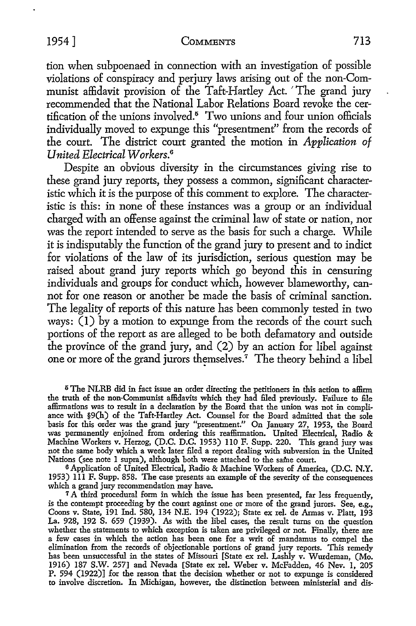tion when subpoenaed in connection with an investigation of possible violations of conspiracy and perjury laws arising out of the non-Communist affidavit provision of the Taft-Hartley Act. 'The grand jury recommended that the National Labor Relations Board revoke the certification of the unions involved.<sup>5</sup> Two unions and four union officials individually moved to expunge this "presentment" from the records of the court. The district court granted the motion in *Application of United Electrical W orkers.6* 

Despite an obvious diversity in the circumstances giving rise *to*  these grand jury reports, they possess a common, significant characteristic which it is the purpose of this comment to explore. The characteristic is this: in none of these instances was a group or an individual charged with an offense against the criminal law of state or nation, nor was the report intended to serve as the basis for such a charge. While it is indisputably the function of the grand jury to present and to indict for violations of the law of its jurisdiction, serious question may be raised about grand jury reports which go beyond this in censuring individuals and groups for conduct which, however blameworthy, cannot for one reason or another be made the basis of criminal sanction. The legality of reports of this nature has been commonly tested in two ways:  $(1)$  by a motion to expunge from the records of the court such portions of the report as are alleged to be both defamatory and outside the province of the grand jury, and (2) by an action for libel against one or more of the grand jurors themselves.<sup>7</sup> The theory behind a libel

<sup>5</sup>The NLRB did in fact issue an order directing the petitioners in this action to affirm the truth of the non-Communist affidavits which they had filed previously. Failure to file affirmations was to result in a declaration by the Board that the union was not in compliance with §9(h) of the Taft-Hartley Act. Counsel for the Board admitted that the sole basis for this order was the grand jury "presentment." On January 27, 1953, the Board was permanently enjoined from ordering this reaffirmation. United Electrical, Radio & Machine Workers v. Herzog, (D.C. D.C. 1953) llO F. Supp. 220. This grand jury was not the same body which a week later filed a report dealing with subversion in the United Nations (see note 1 supra), although both were attached to the same court.

<sup>6</sup>Application of United Electrical, Radio & Machine Workers of America, (D.C. **N.Y.**  1953) lll F. Supp. 858. The case presents an example of the severity of the consequences which a grand jury recommendation may have.

7 A third procedural form in which the issue has been presented, far less frequently, is the contempt proceeding by the court against one or more of the grand jurors. See, e.g., Coons v. State, 191 Ind. 580, 134 N.E. 194 (1922); State ex rel. de Armas v. Platt, 193 La. 928, 192 S. 659 (1939). As with the libel cases, the result turns on the question whether the statements to which exception is taken are privileged or not. Finally, there are a few cases in which the action has been one for a writ of mandamus to compel the elimination from the records of objectionable portions of grand jury reports. This remedy has been unsuccessful in the states of Missouri [State ex rel. Lashly v. Wurdeman, (Mo. 1916) 187 S.W. 257] and Nevada [State ex rel. Weber v. McFadden, 46 Nev. 1, 205 P. 594 (1922)] for the reason that the decision whether or not to expunge is considered to involve discretion. In Michigan, however, the distinction between ministerial and dis-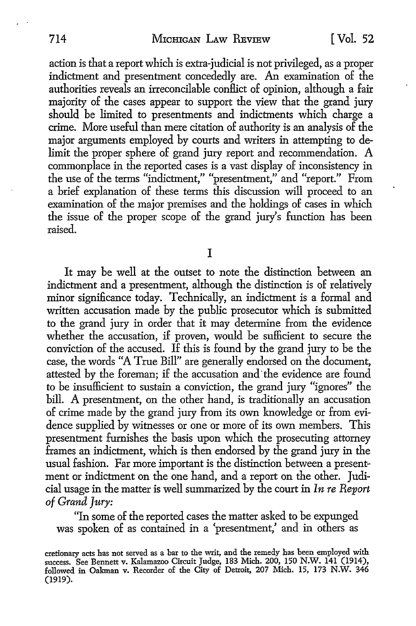action is that a report which is extra-judicial is not privileged, as a proper indictment and presentment concededly are. An examination of the authorities reveals an irreconcilable conflict of opinion, although a fair majority of the cases appear to support the view that the grand jury should be limited to presentments and indictments which charge a crime. More useful than mere citation of authority is an analysis of the major arguments employed by courts and writers in attempting to delimit the proper sphere of grand jury report and recommendation. A commonplace in the reported cases is a vast display of inconsistency in the use of the terms "indictment," "presentment," and "report." From a brief explanation of these terms this discussion will proceed to an examination of the major premises and the holdings of cases in which the issue of the proper scope of the grand jury's function has been raised.

I

It may be well at the outset to note the distinction between an indictment and a presentment, although the distinction is of relatively minor significance today. Technically, an indictment is a formal and written accusation made by the public prosecutor which is submitted to the grand jury in order that it may determine from the evidence whether the accusation, if proven, would be sufficient to secure the conviction of the accused. If this is found by the grand jury to be the case, the words "A True Bill" are generally endorsed on the document, attested by the foreman; if the accusation and· the evidence are found to be insufficient to sustain a conviction, the grand jury "ignores" the bill. A presentment, on the other hand, is traditionally an accusation of crime made by the grand jury from its own knowledge or from evidence supplied by witnesses or one or more of its own members. This presentment furnishes the basis upon which the prosecuting attorney frames an indictment, which is then endorsed by the grand jury in the usual fashion. Far more important is the distinction between a presentment or indictment on the one hand, and a report on the other. Judicial usage in the matter is well summarized by the court in *In re Report of Grand Jury:* 

"In some of the reported cases the matter asked to be expunged was spoken of as contained in a 'presentment,' and in others as

cretionary acts has not served as a bar to the writ, and the remedy has been employed with success. See Bennett v. Kalamazoo Circuit Judge, 183 Mich. 200, 150 N.W. 141 (1914), followed in Oakman v. Recorder of the City of Detroit, 207 Mich. 15, 173 N.W. 346 (1919).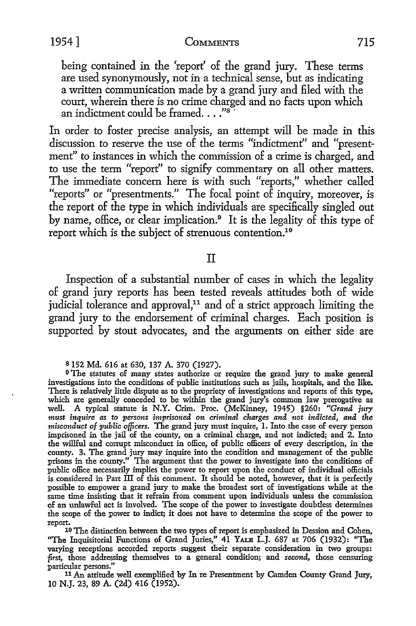being contained in the 'report' of the grand jury. These terms are used synonymously, not in a technical sense, but as indicating a written communication made by a grand jury and filed with the court, wherein there is no crime charged and no facts upon which<br>an indictment could be framed...."<sup>8</sup>

In order *to* foster precise analysis, an attempt will be made in this discussion *to* reserve the use of the terms "indictment" and "presentment" to instances in which the commission of a crime is charged, and *to* use the term "report" to signify commentary on all other matters. The immediate concern here is with such "reports," whether called "reports" or "presentments." The focal point of inquiry, moreover, is the report of the type in which individuals are specifically singled out by name, office, or clear implication.<sup>9</sup> It is the legality of this type of report which is the subject of strenuous contention.<sup>10</sup>

II

Inspection of a substantial number of cases in which the legality of grand jury reports has been tested reveals attitudes both of wide judicial tolerance and approval,<sup>11</sup> and of a strict approach limiting the grand jury to the endorsement of criminal charges. Each position is supported by stout advocates, and the arguments on either side are

s 152 Md. 616 at 630, 137 A. 370 (1927).

<sup>9</sup>The statutes of many states authorize or require the grand jury to make general investigations into the conditions of public institutions such as jails, hospitals, and the like. There is relatively little dispute as to the propriety of investigations and reports of this type, which are generally conceded to be within the grand jury's common law prerogative as well. A typical statute is N.Y. Crim. Proc. (McKinney, 1945) §260: *"Grand jury mmt inquire as to persons imprisoned on criminal charges and not indicted, and the misconduct of public officers.* The grand jury must inquire, I. Into the case of every person imprisoned in the jail of the county, on a criminal charge, and not indicted; and 2. Into the willful and corrupt misconduct in office, of public officers of every description, in the county. 3. The grand jury may inquire into the condition and management of the public prisons in the county." The argument that the power to investigate into the conditions of public office necessarily implies the power to report upon the conduct of individual officials is considered in Part III of this comment. It should be noted, however, that it is perfectly possible to empower a grand jury to make the broadest sort of investigations while at the same time insisting that it refrain from comment upon individuals unless the commission of an unlawful act is involved. The scope of the power to investigate doubtless determines the scope of the power to indict; it does not have to determine the scope of the power to

report. 10 The distinction between the two types of report is emphasized in Dession and Cohen, ''The Inquisitorial Functions of Grand Juries," 41 YALB L.J. 687 at 706 (1932): "The varying receptions accorded reports suggest their separate consideration in two groups: *first,* those addressing themselves to a general condition; and *second,* those censuring particular persons."

<sup>11</sup>An attitude well exemplified by In re Presentment by Camden County Grand Jury, 10 N.J. 23, 89 A. (2d) 416 (1952).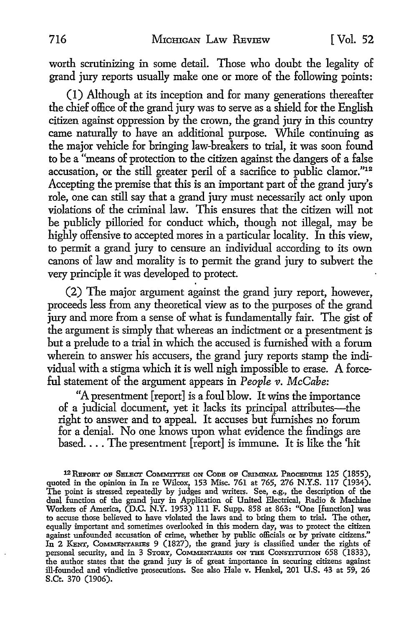worth scrutinizing in some detail. Those who doubt the legality of grand jury reports usually make one or more of the following points:

(I) Although at its inception and for many generations thereafter the chief office of the grand jury was to serve as a shield for the English citizen against oppression by the crown, the grand jury in this country came naturally to have an additional purpose. While continuing as the major vehicle for bringing law-breakers to trial, it was soon found to be a "means of protection to the citizen against the dangers of a false accusation, or the still greater peril of a sacrifice to public clamor."12 Accepting the premise that this is an important part of the grand jury's role, one can still say that a grand jury must necessarily act only upon violations of the criminal law. This ensures that the citizen will not be publicly pilloried for conduct which, though not illegal, may be highly offensive to accepted mores in a particular locality. In this view, to permit a grand jury to censure an individual according to its own canons of law and morality is to permit the grand jury to subvert the very principle it was developed to protect.

(2) The major argument against the grand jury report, however, proceeds less from any theoretical view as to the purposes of the grand jury and more from a sense of what is fundamentally fair. The gist of the argument is simply that whereas an indictment or a presentment is but a prelude to a trial in which the accused is furnished with a forum wherein to answer his accusers, the grand jury reports stamp the individual with a stigma which it is well nigh impossible to erase. A forceful statement of the argument appears in *People v. McCabe:* 

"A presentment [report] is a foul blow. It wins the importance of a judicial document, yet it lacks its principal attributes-the right to answer and to appeal. It accuses but furnishes no forum for a denial. No one knows upon what evidence the findings are based.... The presentment  $[{\rm report}]$  is immune. It is like the 'hit

<sup>12</sup> REPORT OF SELECT COMMITTEE ON CODE OF CRIMINAL PROCEDURE 125 (1855), quoted in the opinion in In re Wilcox, 153 Misc. 761 at 765, 276 N.Y.S. 117 (1934). The point is stressed repeateclly by judges and writers. See, e.g., the description of the dual function of the grand jury in Application of United Electrical, Radio & Machine Workers of America, (D.C. N.Y. 1953) 111 F. Supp. 858 at 863: "One [function] was to accuse those believed to have violated the laws and to bring them to trial. The other, equally important and sometimes overlooked in this modem day, was to protect the citizen against unfounded accusation of crime, whether by public officials or by private citizens."<br>In 2 KENT, CoMMENTARIES 9 (1827), the grand jury is classified under the rights of personal security, and in 3 STORY, COMMENTARIES ON THE CONSTITUTION 658 (1833), the author states that the grand jury is of great importance in securing citizens against ill-founded and vindictive prosecutions. See also Hale v. Henkel, 201 U.S. 43 at 59, 26 S.Ct. 370 (1906).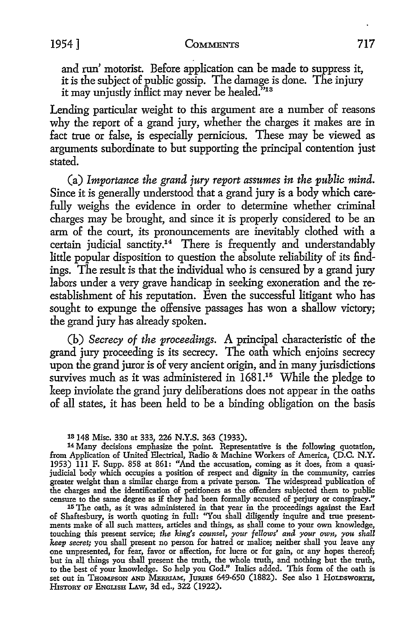## 1954] **CoMMENTS** 717

and run' motorist. Before application can be made to suppress it, it is the subject of public gossip. The damage is done. The injury it may unjustly inflict may never be healed."13

Lending particular weight to this argument are a number of reasons why the report of a grand jury, whether the charges it makes are in fact true or false, is especially pernicious. These may be viewed as arguments subordinate to but supporting the principal contention just stated.

(a) *Importance the grand jury report assumes in the public mind.*  Since it is generally understood that a grand jury is a body which carefully weighs the evidence in order to determine whether criminal charges may be brought, and since it is properly considered to be an arm of the court, its pronouncements are inevitably clothed with a certain judicial sanctity.<sup>14</sup> There is frequently and understandably little popular disposition to question the absolute reliability of its findings. The result is that the individual who is censured by a grand jury labors under a very grave handicap in seeking exoneration and the reestablishment of his reputation. Even the successful litigant who has sought to expunge the offensive passages has won a shallow victory; the grand jury has already spoken.

(b) *Secrecy of the proceedings.* A principal characteristic of the grand jury proceeding is its secrecy. The oath which enjoins secrecy upon the grand juror is of very ancient origin, and in many jurisdictions survives much as it was administered in 1681.<sup>15</sup> While the pledge to keep inviolate the grand jury deliberations does not appear in the oaths of all states. it has been held to be a binding obligation on the basis

1s 148 Misc. 330 at 333, 226 **N.Y.S.** 363 (1933).

14 Many decisions emphasize the point. Representative is the followmg quotation, from Application of United Electrical, Radio & Machine Workers of America, (D.C. **N.Y.**  1953) lll F. Supp. 858 at 861: "And the accusation, coming as it does, from a quasijudicial body which occupies a position of respect and dignity in the community, carries greater weight than a similar charge from a private person. The widespread publication of the charges and the identification of petitioners as the offenders subjected them to public censure to the same degree as if they had been formally accused of perjury or conspiracy."

15 The oath, as it was administered in that year in the proceedings against the Earl of Shaftesbury, is worth quoting in full: "You shall diligently inquire and true presentments make of all such matters, articles and things, as shall come to your own knowledge, touching this present service; *the king's counsel, your fellows' and your own, you shall keep secret;* you shall present no person for hatred or malice; neither shall you leave any one unpresented, for fear, favor or affection, for lucre or for gain, or any hopes thereof; but in all things you shall present the truth, the whole truth, and nothing but the truth, to the best of your knowledge. So help you God." Italics added. This form of the oath is set out in Thompson and MERRIAM, JURIES 649-650 (1882). See also 1 HoLDSWORTH, HisTORY oF ENGLISH LAw, 3d ed., 322 (1922).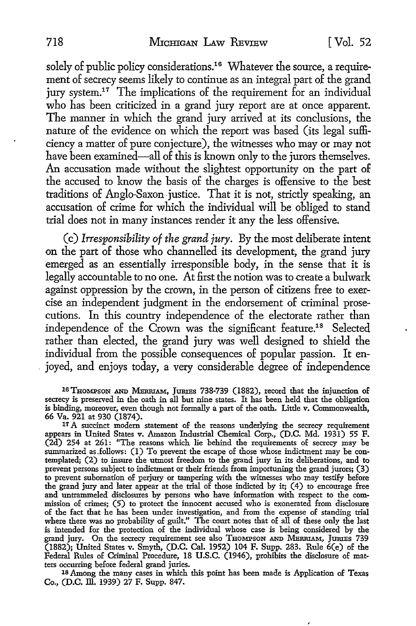solely of public policy considerations.<sup>16</sup> Whatever the source, a requirement of secrecy seems likely to continue as an integral part of the grand jury system.<sup>17</sup> The implications of the requirement for an individual who has been criticized in a grand jury report are at once apparent. The manner in which the grand jury arrived at its conclusions, the nature of the evidence on which the report was based (its legal sufficiency a matter of pure conjecture), the witnesses who may or may not have been examined—all of this is known only to the jurors themselves. An accusation made without the slightest opportunity on the part of the accused to know the basis of the charges is offensive to the best traditions of Anglo-Saxon. justice. That it is not, strictly speaking, an accusation of crime for which the individual will be obliged to stand trial does not in many instances render it any the less offensive.

(c) *Irresponsibility of the grand jury.* By the most deliberate intent on the part of those who channelled its development, the grand jury emerged as an essentially irresponsible body, in the sense that it is legally accountable to no one. At first the notion was to create a bulwark against oppression by the crown, in the person of citizens free to exercise an independent judgment in the endorsement of criminal prosecutions. In this country independence of the electorate rather than independence of the Crown was the significant feature.18 Selected rather than elected, the grand jury was well designed to shield the individual from the possible consequences of popular passion. It enjoyed, and enjoys today, a very considerable degree of independence

16 THOMPSON AND MERRIAM, JURIES 738-739 (1882), record that the injunction of secrecy is preserved in the oath in all but nine states. It has been held that the obligation is binding, moreover, even though not formally a part of the oath. Little v. Commonwealth, 66 Va. 921 at 930 (1874).

<sup>17</sup> A succinct modern statement of the reasons underlying the secrecy requirement appears in United States v. Amazon Industrial Chemical Corp., (D.C. Md. 1931) 55 F. (2d) 254 at 261: "The reasons which lie behind the requirements of secrecy may be summarized as.follows: (1) To prevent the escape of those whose indictment may be contemplated; (2) to insure the utmost freedom to the grand jury in its deliberations, and to prevent persons subject to indictment or their friends from importuning the grand jurors; (3) to prevent subornation of perjury or tampering with the witnesses who may testify before the grand jury and later appear at the trial of those indicted by it; ( 4) to encourage free and untrammeled disclosures by persons who have information with respect to the commission of crimes; (5) to protect the innocent accused who is exonerated from disclosure of the fact that he has been under investigation, and from the expense of standing trial where there was no probability of guilt." The court notes that of all of these only the last is intended for the protection of the individual whose case is being considered by the grand jury. On the secrecy requirement see also THOMPSON AND MERRIAM, JURIES 739 (1882); United States v. Smyth, (D.C. Cal. 1952) 104 F. Supp. 283. Rnle 6(e) of the Federal Rules of Criminal Procedure, 18 U.S.C. (1946), prohibits the disclosure of matters occurring before federal grand juries.

18 Among the many cases in which this point has been made is Application of Texas Co., (D.C. ill. 1939) 27 F. Supp. 847.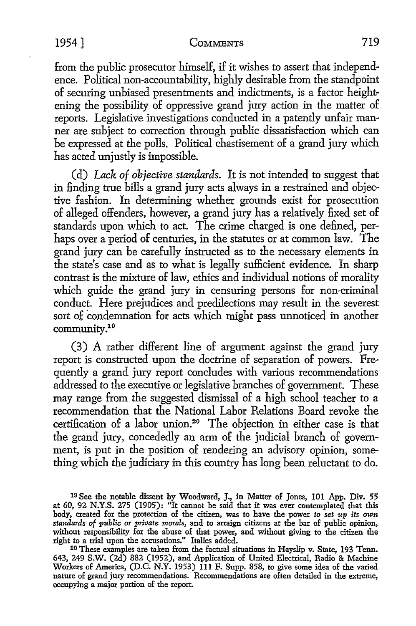from the public prosecutor himself, if it wishes to assert that independence. Political non-accountability, highly desirable from the standpoint of securing unbiased presentments and indictments, is a factor heightening the possibility of oppressive grand jury action in the matter of reports. Legislative investigations conducted in a patently unfair manner are subject to correction through public dissatisfaction which can be expressed at the polls. Political chastisement of a grand jury which has acted unjustly is impossible.

(d) *Lack of objective standards.* It is not intended to suggest that in finding true bills a grand jury acts always in a restrained and objective fashion. In determining whether grounds exist for prosecution of alleged offenders, however, a grand jury has a relatively fixed set of standards upon which to act. The crime charged is one defined, perhaps over a period of centuries, in the statutes or at common law. The grand jury can be carefully instructed as to the necessary elements in the state's case and as to what is legally sufficient evidence. In sharp contrast is the mixture of law, ethics and individual notions of morality which guide the grand jury in censuring persons for non-criminal conduct. Here prejudices and predilections may result in the severest sort of condemnation for acts which might pass unnoticed in another community.19

(3) A rather different line of argument against the grand jury report is constructed upon the doctrine of separation of powers. Frequently a grand jury report concludes with various recommendations addressed to the executive or legislative branches of government. These may range from the suggested dismissal of a high school teacher to a recommendation that the National Labor Relations Board revoke the certification of a labor union.20 The objection in either case is that the grand jury, concededly an arm of the judicial branch of government, is put in the position of rendering an advisory opinion, something which the judiciary in this country has long been reluctant to do.

<sup>19</sup> See the notable dissent by Woodward, J., in Matter of Jones, 101 App. Div. 55 at 60, 92 N.Y.S. 275 (1905): "It cannot be said that it was ever contemplated that this body, created for the protection of the citizen, was to have the power *to set up its* own *standards of public or private morals,* and to arraign citizens at the bar of public opinion, without responsibility for the abuse of that power, and without giving to the citizen the right to a trial upon the accusations." Italics added.

<sup>20</sup> These examples are taken from the factual situations in Hayslip v. State, 193 Tenn. 643, 249 S.W. (2d) 882 (1952), and Application of United Electrical, Radio & Machine Workers of America, (D.C. N.Y. 1953) 111 F. Supp. 858, to give some idea of the varied nature of grand jury recommendations. Recommendations are often detailed in the extreme, occupying a major portion of the report.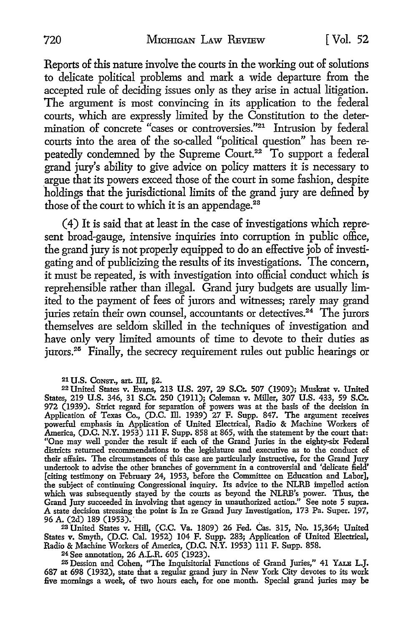Reports of this nature involve the courts in the working out of solutions to delicate political problems and mark a wide departure from the accepted rule of deciding issues only as they arise in actual litigation. The argument is most convincing in its application to the federal courts, which are expressly limited by the Constitution to the determination of concrete "cases or controversies."21 Intrusion by federal courts into the area of the so-called "political question" has been repeatedly condemned by the Supreme Court.<sup>22</sup> To support a federal grand jury's ability to give advice on policy matters it is necessary to \_argue that its powers exceed those of the court in some fashion, despite holdings that the jurisdictional limits of the grand jury are defined by those of the court to which it is an appendage.<sup>28</sup>

( 4) It is said that at least in the case of investigations which represent broad-gauge, intensive inquiries into corruption in public office, the grand jury is not properly equipped to do an effective job of investigating and of publicizing the results of its investigations. The concern, it must be repeated, is with investigation into official conduct which is reprehensible rather than illegal. Grand jury budgets are usually limited to the payment of fees of jurors and witnesses; rarely may grand juries retain their own counsel, accountants or detectives.<sup>24</sup> The jurors themselves are seldom skilled in the techniques of investigation and have only very limited amounts of time to devote to their duties as jurors.25 Finally, the secrecy requirement rules out public hearings or

21 **U.S. CoNST.,** art. fil, §2.

22 United States v. Evans, 213 U.S. 297, 29 S.Ct. 507 (1909); Muskrat v. United States, 219 U.S. 346, 31 S.Ct. 250 (1911); Coleman v. Miller, 307 U.S. 433, 59 S.Ct. 972 (1939). Strict regard for separation of powers was at the basis of the decision in Application of Texas Co., (D.C. Ill. 1939) 27 F. Supp. 847. The argument receives powerful emphasis in Application of United Electrical, Radio & Machine Workers of America, (D.C. N.Y. 1953) Ill F. Supp. 858 at 865, with the statement by the court that: "One may well ponder the result if each of the Grand Juries in the eighty-six Federal districts returned recommendations to the legislature and executive as to the conduct of their affairs. The circumstances of this case are particularly instructive, for the Grand Jury undertook to advise the other branches of government in a controversial and 'delicate field' [citing testimony on February 24, 1953, before the Committee on Education and Labor], the subject of continuing Congressional inquiry. Its advice to the NLRB impelled action which was subsequently stayed by the courts as beyond the NLRB's power. Thus, the Grand Jury succeeded in involving that agency in unauthorized action." See note 5 supra. A state decision stressing the point is In re Grand Jury Investigation, 173 Pa. Super. 197, 96 A. (2d) 189 (1953). · .

<sup>28</sup>United States v. Hill, (C.C. Va. 1809) 26 Fed. Cas. 315, No. 15,364; United States v. Smyth, (D.C. Cal. 1952) 104 F. Supp. 283; Application of United Electrical, Radio & Machine Workers of America, (D.C. N.Y. 1953) lll F. Supp. 858. 24 See annotation, 26 A.L.R. 605 (1923).

<sup>25</sup>Dession and Cohen, ''The Inquisitorial Functions of Grand Juries," 41 YALB L.J. 687 at 698 (1932), state that a regular grand jury in New York City devotes to its work five mornings a week, of two hours each, for one month. Special grand juries may be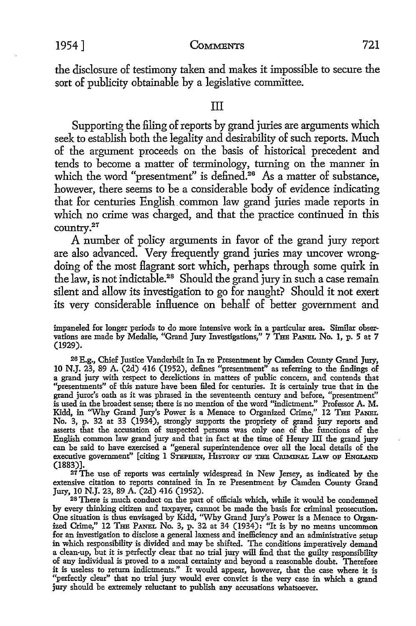the disclosure of testimony taken and makes it impossible to secure the sort of publicity obtainable by a legislative committee.

## III

Supporting the filing of reports by grand juries are arguments which seek to establish both the legality and desirability of such reports. Much of the argument proceeds on the basis of historical precedent and tends to become a matter of terminology, turning on the manner in which the word "presentment" is defined.<sup>26</sup> As a matter of substance, however, there seems to be a considerable body of evidence indicating that for centuries English. common law grand juries made reports in which no crime was charged, and that the practice continued in this country.27

A number of policy arguments in favor of the grand jury report are also advanced. Very frequently grand juries may uncover wrongdoing of the most flagrant sort which, perhaps through some quirk in the law, is not indictable.28 Should the grand jury in such a case remain silent and allow its investigation to go for naught? Should it not exert its very considerable influence on behalf of better government and

impaneled for longer periods to do more intensive work in a particular area. Similar observations are made by Medalie, "Grand Jury Investigations," 7 THE PANEL No. 1, p. 5 at 7 (1929).

26 E.g., Chief Justice Vanderbilt in In re Presentment by Camden County Grand Jury, 10 N.J. 23, 89 A. (2d) 416 (1952), defines "presentment" as referring to the findings of a grand jury with respect to derelictions in matters of public concern, and contends that "presentments" of this nature have been filed for centuries. It is certainly true that in the grand juror's oath as it was phrased in the seventeenth century and before, "presentment" is used in the broadest sense; there is no mention of the word "indictment." Professor A. M. Kidd, in "Why Grand Jury's Power is a Menace to Organized Crime," 12 THE PANEL No. 3, p. 32 at 33 (1934), strongly supports the propriety of grand jury reports and asserts that the accusation of suspected persons was only one of the functions of the English common law grand jury and that in fact at the time of Henry III the grand jury can be said to have exercised a "general superintendence over all the local details of the executive government" [citing 1 STEPHEN, HISTORY OF THE CRIMINAL LAW OF ENGLAND (1883)].

27 The use of reports was certainly widespread in New Jersey, as indicated by the extensive citation to reports contained in In re Presentment by Camden County Grand Jury, 10 N.J. 23, 89 A. (2d) 416 (1952).

28 There is much conduct on the part of officials which, while it would be condemned by every thinking citizen and taxpayer, cannot be made the basis for criminal prosecution. One situation is thus envisaged by Kidd, ''Why Grand Jury's Power is a Menace to Organized Crime," 12 THE PANBL No. 3, p. 32 at 34 (1934): "It is by no means uncommon for an investigation to disclose a general laxness and inefficiency and an administrative setup in which responsibility is divided and may be shifted. The conditions imperatively demand a clean-up, but it is perfectly clear that no trial jury will find that the guilty responsibility of any individual is proved to a moral certainty and beyond a reasonable doubt. Therefore it is useless to return indictments." It would appear, however, that the case where it is "perfectly clear" that no trial jury would ever convict is the very case in which a grand jury should be extremely reluctant to publish any accusations whatsoever.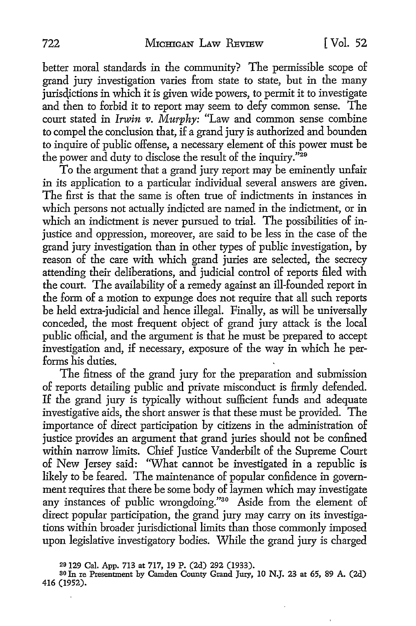better moral standards in the community? The permissible scope of grand jury investigation varies from state to state, but in the many jurisdictions in which it is given wide powers, to permit it to investigate and then to forbid it to report may seem to defy common sense. The court stated in *Irwin v. Murphy:* "Law and common sense combine to compel the conclusion that, if a grand jury is authorized and bounden to inquire of public offense, a necessary element of this power must be the power and duty to disclose the result of the inquiry."<sup>29</sup>

To the argument that a grand jury report may be eminently unfair in its application to a particular individual several answers are given. The first is that the same is often true of indictments in instances in which persons not actually indicted are named in the indictment, or in which an indictment is never pursued to trial. The possibilities of injustice and oppression, moreover, are said to be less in the case of the grand jury investigation than in other types of public investigation, by reason of the care with which grand juries are selected, the secrecy attending their deliberations, and judicial control of reports filed with the court. The availability of a remedy against an ill-founded report in the form of a motion to expunge does not require that all such reports be held extra-judicial and hence illegal. Finally, as will be universally conceded, the most frequent object of grand jury attack is the local public official, and the argument is that he must be prepared *to* accept investigation and, if necessary, exposure of the way in which he performs his duties.

The fitness of the grand jury for the preparation and submission of reports detailing public and private misconduct is firmly defended. If the grand jury is typically without sufficient funds and adequate investigative aids, the short answer is that these must be provided. The importance of direct participation by citizens in the administration of justice provides an argument that grand juries should not be confined within narrow limits. Chief Justice Vanderbilt of the Supreme Court of New Jersey said: 'What cannot be investigated in a republic is likely *to* be feared. The maintenance of popular confidence in government requires that there be some body of laymen which may investigate any instances of public wrongdoing."<sup>30</sup> Aside from the element of direct popular participation, the grand jury may carry on its investigations within broader jurisdictional limits than those commonly imposed upon legislative investigatory bodies. While the grand jury is charged

<sup>20 129</sup> Cal. App. 713 at 717, 19 P. (2d) 292 (1933).

so In re Presentment by Camden County Grand Jury, IO **N.J.** 23 at 65, 89 A. (2d) 416 (1952).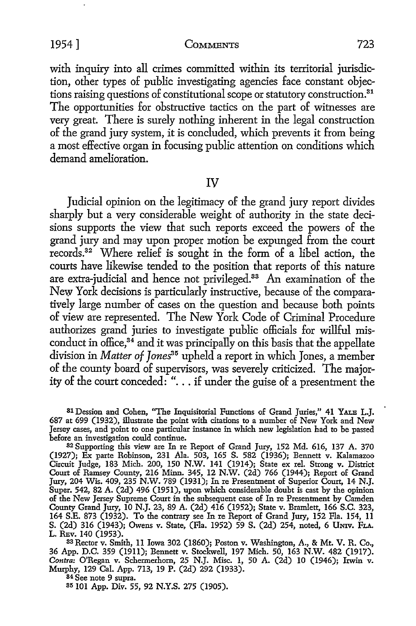with inquiry into all crimes committed within its territorial jurisdiction, other types of public investigating agencies face constant objections raising questions of constitutional scope or statutory construction. 31 The opportunities for obstructive tactics on the part of witnesses are very great. There is surely nothing inherent in the legal construction of the grand jury system, it is concluded, which prevents it from being a most effective organ in focusing public attention on conditions which demand amelioration.

#### IV

Judicial opinion on the legitimacy of the grand jury report divides sharply but a very considerable weight of authority in the state decisions supports the view that such reports exceed the powers of the grand jury and may upon proper motion be expunged from the court records.32 Where relief is sought in the form of a libel action, the courts have likewise tended *to* the position that reports of this nature are extra-judicial and hence not privileged.33 An examination of the New York decisions is particularly instructive, because of the comparatively large number of cases on the question and because both points of view are represented. The New York Code of Criminal Procedure authorizes grand juries *to* investigate public officials for willful misconduct in office, $34$  and it was principally on this basis that the appellate division in *Matter of Jones*<sup>35</sup> upheld a report in which Jones, a member of the county board of supervisors, was severely criticized. The majority of the court conceded: " ... if under the guise of a presentment the

SlDession and Cohen, "The Inquisitorial Functions of Grand Juries," 41 YALB L.J. 687 at 699 (1932), illustrate the point with citations to a number of New York and New Jersey cases, and point to one particular instance in which new legislation had to be passed before an investigation could continue.

<sup>82</sup>Supporting this view are In re Report of Grand Jury, 152 Md. 616, 137 A. 370 (1927); Ex parte Robinson, 231 Ala. 503, 165 S. 582 (1936); Bennett v. Kalamazoo Circuit Judge, 183 Mich. 200, 150 N.W. 141 (1914); State ex rel. Strong v. District Court of Ramsey County, 216 Minn. 345, 12 N.W. (2d) 766 (1944); Report of Grand Jury, 204 Wis. 409, 235 N.W. 789 (1931); In re Presentment of Superior Court, 14 N.J. Super. 542, 82 A. (2d) 496 (1951), upon which considerable doubt is cast by the opinion of the New Jersey Supreme Court in the subsequent case of In re Presentment by Camden County Grand Jury, 10 N.J. 23, 89 A. (2d) 416 (1952); State v. Bramlett, 166 S.C. 323, 164 S.E. 873 (1932). To the contrary see In re Report of Grand Jury, 152 Fla. 154, 11 S. (2d) 316 (1943); Owens v. State, (Fla. 1952) 59 S. (2d) 254, noted, 6 Umv. FLA. L. REv. 140 (1953).

33 Rector v. Smith, 11 Iowa 302 (1860); Poston v. Washington, A., & Mt. V. R. Co., 36 App. D.C. 359 (1911); Bennett v. Stockwell, 197 Mich. 50, 163 N.W. 482 (1917). *Contra:* O'Regan v. Schermerhorn, 25 N.J. Misc. 1, 50 A. (2d) 10 (1946); Irwin v. Murphy, 129 Cal. App. 713, 19 P. (2d) 292 (1933).

84 See note 9 supra.

35 101 App. Div. 55, 92 N.Y.S. 275 (1905).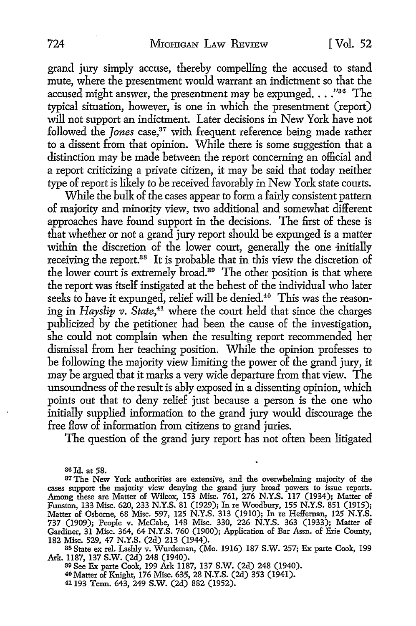grand jury simply accuse, thereby compelling the accused to stand mute, where the presentment would warrant an indictment so that the accused might answer, the presentment may be expunged.  $\ldots$ ."<sup>36</sup> The typical situation, however, is one in which the presentment (report) will not support an indictment. Later decisions in New York have not followed the *Jones* case,<sup>37</sup> with frequent reference being made rather to a dissent from that opinion. While there is some suggestion that a distinction may be made between the report concerning an official and a report criticizing a private citizen, it may be said that today neither type of report is likely to be received favorably in New York state courts.

While the bulk of the cases appear to form a fairly consistent pattern of majority and minority view, two additional and somewhat different approaches have found support in the decisions. The first of these is that whether or not a grand jury report should be expunged is a matter within the discretion of the lower court, generally the one initially receiving the report.<sup>38</sup> It is probable that in this view the discretion of the lower court is extremely broad.<sup>39</sup> The other position is that where the report was itself instigated at the behest of the individual who later seeks to have it expunged, relief will be denied.<sup>40</sup> This was the reasoning in *Hayslip v.* State,<sup>41</sup> where the court held that since the charges publicized by the petitioner had been the cause of the investigation, she could not complain when the resulting report recommended her dismissal from her teaching position. While the opinion professes to be following the majority view limiting the power of the grand jury, it may be argued that it marks a very wide departure from that view. The unsoundness of the result is ably exposed in a dissenting opinion, which points out that to deny relief just because a person is the one who initially supplied information to the grand jury would discourage the free flow of information from citizens to grand juries.

The question of the grand jury report has not often been litigated

36Jd. at 58.

89 See Ex parte Cook, 199 Ark 1187, 137 S.W. (2d) 248 (1940). 40 Matter of Knight, l 76 Misc. 635, 28 N.Y.S. (2d) 353 (194 I). 41 193 Tenn. 643, 249 S.W. (2d) 882 (1952).

<sup>37</sup>The New York authorities are extensive, and the overwhelming majority of the cases support the majority view denying the grand jury broad powers to issue reports. Among these are Matter of Wilcox, 153 Misc. 761, 276 N.Y.S. 117 (1934); Matter of Funston, 133 Misc. 620, 233 N.Y.S. 81 (1929); In re Woodbury, 155 N.Y.S. 851 (1915); Matter of Osborne, 68 Misc. 597, 125 N.Y.S. 313 (1910); In re Heffernan, 125 N.Y.S. 737 (1909); People v. McCabe, 148 Misc. 330, 226 N.Y.S. 363 (1933); Matter of Gardiner, 31 Misc. 364, 64 N.Y.S. 760 (1900); Application of Bar Assn. of Erie County, 182 Misc. 529, 47 N.Y.S. (2d) 213 (1944).

ss State ex rel. Lashly v. Wurdeman, (Mo. 1916) 187 S.W. 257; Ex parte Cook, 199 Ark. 1187, 137 S.W. (2d) 248 (1940).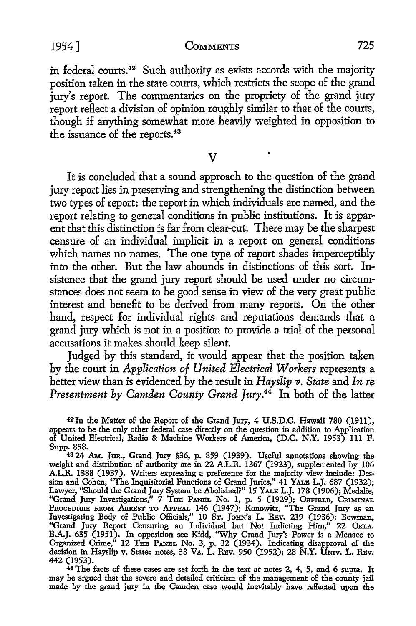in federal courts.<sup>42</sup> Such authority as exists accords with the majority position taken in the state courts, which restricts the scope of the grand jury's report. The commentaries on the propriety of the grand jury report reflect a division of opinion roughly similar *to* that of the courts, though if anything somewhat more heavily weighted in opposition *to*  the issuance of the reports.<sup>43</sup>

 $\overline{\mathbf{V}}$ 

It is concluded that a sound approach to the question of the grand jury report lies in preserving and strengthening the distinction between two types of report: the report in which individuals are named, and the report relating *to* general conditions in public institutions. It is apparent that this distinction is far from clear-cut. There may be the sharpest censure of an individual implicit in a report on general conditions which names no names. The one type of report shades imperceptibly into the other. But the law abounds in distinctions of this sort. Insistence that the grand jury report should be used under no circumstances does not seem to be good sense in view of the very great public interest and benefit *to* be derived from many reports. On the other hand, respect for individual rights and reputations demands that a grand jury which is not in a position *to* provide a trial of the personal accusations it makes should keep silent.

Judged by this standard, it would appear that the position taken by the court in *Application of United Electrical Workers* represents a better view than is evidenced by the result in *Hayslip v. State* and *In re Presentment by Camden County Grand Jury.44* In both of the latter

<sup>42</sup> In the Matter of the Report of the Grand Jury, 4 U.S.D.C. Hawaii 780 (1911), appears to be the only other federal case directly on the question in addition to Application of United Electrical, Radio & Machine Workers of America, (D.C. N.Y. 1953) 111 F. Supp. 858.

<sup>43</sup>24 AM.. Jun., Grand Jury §36, p. 859 (1939). Useful annotations showing the weight and distribution of authority are in 22 A.L.R. 1367 (1923), supplemented by 106 A.L.R. 1388 (1937). Writers expressing a preference for the majority view include: Dession and Cohen, ''The Inquisitorial Functions of Grand Juries," 41 YALB L.J. 687 (1932); Lawyer, "Should the Grand Jury System be Abolished?" 15 YALB L.J. 178 (1906); Medalie, "Grand Jury Investigations," 7 THE PANEL No. 1, p. 5 (1929); ORFIELD, CRIMINAL Procepure From Arrest to Appeal 146 (1947); Konowitz, ''The Grand Jury as an Investigating Body of Public Officials,'' 10 St. John's L. Rev. 219 (1936); Bowman, "Grand Jury Report Censuring an Individual but Not Indicting Him," 22 OKLA. B.A.J. 635 (1951). In opposition see Kidd, "Why Grand Jury's Power is a Menace to Organized Crime," 12 THE PANEL No. 3, p. 32 (1934). Indicating disapproval of the decision in Hayslip v. State: notes, 38 VA. L. REv. 950 (1952); 28 N.Y. UNIV. L. REv. 442 (1953).

<sup>44</sup> The facts of these cases are set forth in the text at notes 2, 4, 5, and 6 supra. It may be argued that the severe and detailed criticism of the management of the county jail made by the grand jury in the Camden case would inevitably have reHected upon the